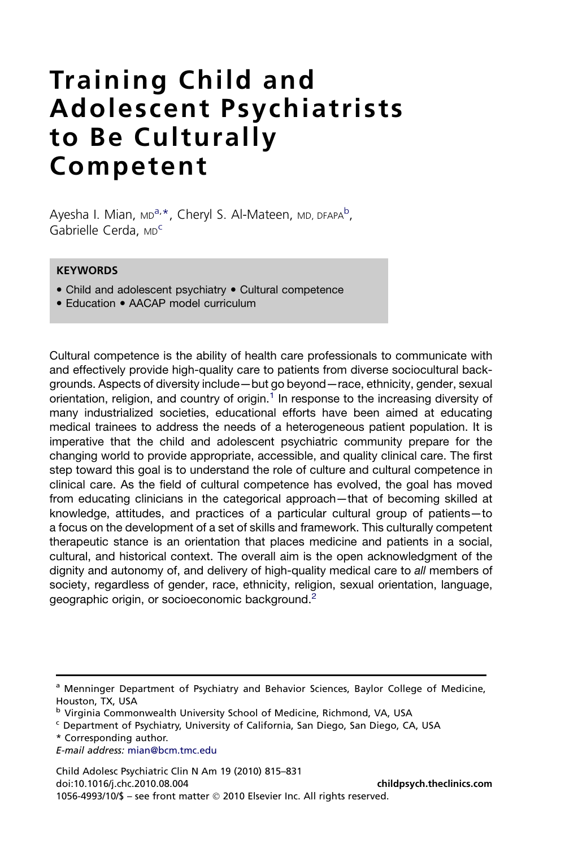# Training Child and Adolescent Psychiatrists to Be Culturally Competent

Avesha I, Mian, <sub>MD</sub><sup>a,\*</sup>, Cheryl S, Al-Mateen, <sub>MD</sub>, <sub>DEAPA</sub>b, Gabrielle Cerda, MD<sup>c</sup>

## **KEYWORDS**

- Child and adolescent psychiatry Cultural competence
- Education AACAP model curriculum

Cultural competence is the ability of health care professionals to communicate with and effectively provide high-quality care to patients from diverse sociocultural backgrounds. Aspects of diversity include—but go beyond—race, ethnicity, gender, sexual orientation, religion, and country of origin.<sup>[1](#page-12-0)</sup> In response to the increasing diversity of many industrialized societies, educational efforts have been aimed at educating medical trainees to address the needs of a heterogeneous patient population. It is imperative that the child and adolescent psychiatric community prepare for the changing world to provide appropriate, accessible, and quality clinical care. The first step toward this goal is to understand the role of culture and cultural competence in clinical care. As the field of cultural competence has evolved, the goal has moved from educating clinicians in the categorical approach—that of becoming skilled at knowledge, attitudes, and practices of a particular cultural group of patients—to a focus on the development of a set of skills and framework. This culturally competent therapeutic stance is an orientation that places medicine and patients in a social, cultural, and historical context. The overall aim is the open acknowledgment of the dignity and autonomy of, and delivery of high-quality medical care to *all* members of society, regardless of gender, race, ethnicity, religion, sexual orientation, language, geographic origin, or socioeconomic background.<sup>[2](#page-12-0)</sup>

Child Adolesc Psychiatric Clin N Am 19 (2010) 815–831 doi:10.1016/j.chc.2010.08.004 [childpsych.theclinics.com](http://childpsych.theclinics.com) 1056-4993/10/\$ – see front matter 2010 Elsevier Inc. All rights reserved.

<sup>&</sup>lt;sup>a</sup> Menninger Department of Psychiatry and Behavior Sciences, Baylor College of Medicine, Houston, TX, USA

<sup>&</sup>lt;sup>b</sup> Virginia Commonwealth University School of Medicine, Richmond, VA, USA

<sup>c</sup> Department of Psychiatry, University of California, San Diego, San Diego, CA, USA

<sup>\*</sup> Corresponding author.

E-mail address: [mian@bcm.tmc.edu](mailto:mian@bcm.tmc.edu)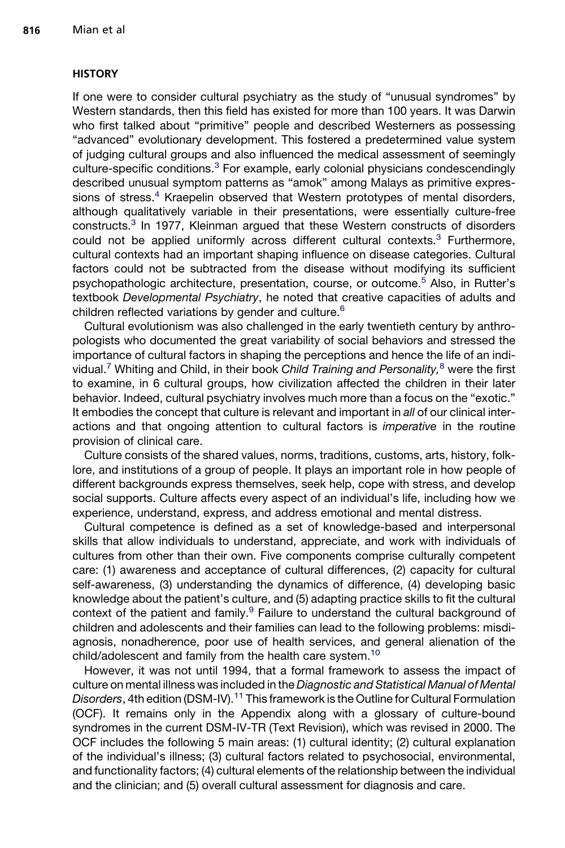#### **HISTORY**

If one were to consider cultural psychiatry as the study of "unusual syndromes" by Western standards, then this field has existed for more than 100 years. It was Darwin who first talked about "primitive" people and described Westerners as possessing "advanced" evolutionary development. This fostered a predetermined value system of judging cultural groups and also influenced the medical assessment of seemingly culture-specific conditions.<sup>[3](#page-12-0)</sup> For example, early colonial physicians condescendingly described unusual symptom patterns as "amok" among Malays as primitive expressions of stress.<sup>4</sup> Kraepelin observed that Western prototypes of mental disorders, although qualitatively variable in their presentations, were essentially culture-free constructs.[3](#page-12-0) In 1977, Kleinman argued that these Western constructs of disorders could not be applied uniformly across different cultural contexts.[3](#page-12-0) Furthermore, cultural contexts had an important shaping influence on disease categories. Cultural factors could not be subtracted from the disease without modifying its sufficient psychopathologic architecture, presentation, course, or outcome.<sup>[5](#page-12-0)</sup> Also, in Rutter's textbook *Developmental Psychiatry*, he noted that creative capacities of adults and children reflected variations by gender and culture.<sup>[6](#page-13-0)</sup>

Cultural evolutionism was also challenged in the early twentieth century by anthropologists who documented the great variability of social behaviors and stressed the importance of cultural factors in shaping the perceptions and hence the life of an individual[.7](#page-13-0) Whiting and Child, in their book *Child Training and Personality,*[8](#page-13-0) were the first to examine, in 6 cultural groups, how civilization affected the children in their later behavior. Indeed, cultural psychiatry involves much more than a focus on the "exotic." It embodies the concept that culture is relevant and important in *all* of our clinical interactions and that ongoing attention to cultural factors is *imperative* in the routine provision of clinical care.

Culture consists of the shared values, norms, traditions, customs, arts, history, folklore, and institutions of a group of people. It plays an important role in how people of different backgrounds express themselves, seek help, cope with stress, and develop social supports. Culture affects every aspect of an individual's life, including how we experience, understand, express, and address emotional and mental distress.

Cultural competence is defined as a set of knowledge-based and interpersonal skills that allow individuals to understand, appreciate, and work with individuals of cultures from other than their own. Five components comprise culturally competent care: (1) awareness and acceptance of cultural differences, (2) capacity for cultural self-awareness, (3) understanding the dynamics of difference, (4) developing basic knowledge about the patient's culture, and (5) adapting practice skills to fit the cultural context of the patient and family. $9$  Failure to understand the cultural background of children and adolescents and their families can lead to the following problems: misdiagnosis, nonadherence, poor use of health services, and general alienation of the child/adolescent and family from the health care system[.10](#page-13-0)

However, it was not until 1994, that a formal framework to assess the impact of culture on mental illness was included in the *Diagnostic and Statistical Manual of Mental Disorders*, 4th edition (DSM-IV).[11](#page-13-0) This framework is the Outline for Cultural Formulation (OCF). It remains only in the Appendix along with a glossary of culture-bound syndromes in the current DSM-IV-TR (Text Revision), which was revised in 2000. The OCF includes the following 5 main areas: (1) cultural identity; (2) cultural explanation of the individual's illness; (3) cultural factors related to psychosocial, environmental, and functionality factors; (4) cultural elements of the relationship between the individual and the clinician; and (5) overall cultural assessment for diagnosis and care.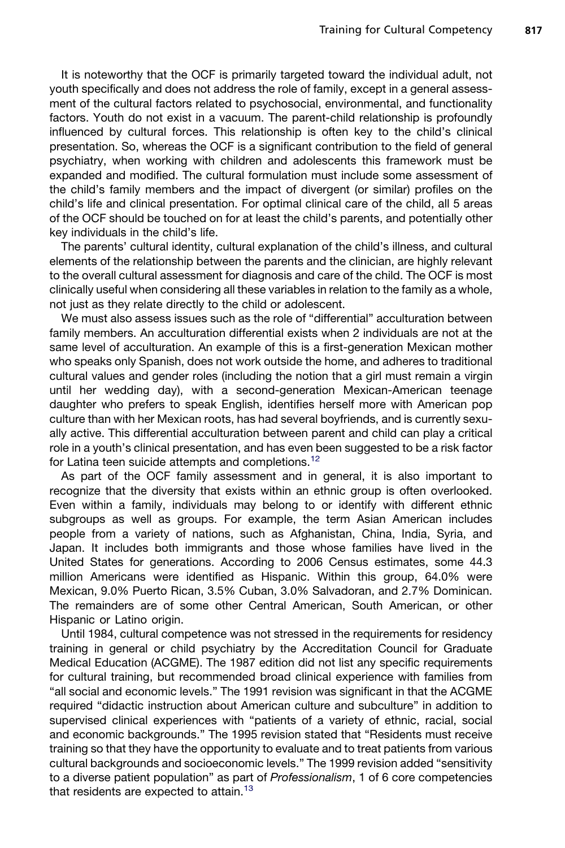It is noteworthy that the OCF is primarily targeted toward the individual adult, not youth specifically and does not address the role of family, except in a general assessment of the cultural factors related to psychosocial, environmental, and functionality factors. Youth do not exist in a vacuum. The parent-child relationship is profoundly influenced by cultural forces. This relationship is often key to the child's clinical presentation. So, whereas the OCF is a significant contribution to the field of general psychiatry, when working with children and adolescents this framework must be expanded and modified. The cultural formulation must include some assessment of the child's family members and the impact of divergent (or similar) profiles on the child's life and clinical presentation. For optimal clinical care of the child, all 5 areas of the OCF should be touched on for at least the child's parents, and potentially other key individuals in the child's life.

The parents' cultural identity, cultural explanation of the child's illness, and cultural elements of the relationship between the parents and the clinician, are highly relevant to the overall cultural assessment for diagnosis and care of the child. The OCF is most clinically useful when considering all these variables in relation to the family as a whole, not just as they relate directly to the child or adolescent.

We must also assess issues such as the role of "differential" acculturation between family members. An acculturation differential exists when 2 individuals are not at the same level of acculturation. An example of this is a first-generation Mexican mother who speaks only Spanish, does not work outside the home, and adheres to traditional cultural values and gender roles (including the notion that a girl must remain a virgin until her wedding day), with a second-generation Mexican-American teenage daughter who prefers to speak English, identifies herself more with American pop culture than with her Mexican roots, has had several boyfriends, and is currently sexually active. This differential acculturation between parent and child can play a critical role in a youth's clinical presentation, and has even been suggested to be a risk factor for Latina teen suicide attempts and completions.<sup>[12](#page-13-0)</sup>

As part of the OCF family assessment and in general, it is also important to recognize that the diversity that exists within an ethnic group is often overlooked. Even within a family, individuals may belong to or identify with different ethnic subgroups as well as groups. For example, the term Asian American includes people from a variety of nations, such as Afghanistan, China, India, Syria, and Japan. It includes both immigrants and those whose families have lived in the United States for generations. According to 2006 Census estimates, some 44.3 million Americans were identified as Hispanic. Within this group, 64.0% were Mexican, 9.0% Puerto Rican, 3.5% Cuban, 3.0% Salvadoran, and 2.7% Dominican. The remainders are of some other Central American, South American, or other Hispanic or Latino origin.

Until 1984, cultural competence was not stressed in the requirements for residency training in general or child psychiatry by the Accreditation Council for Graduate Medical Education (ACGME). The 1987 edition did not list any specific requirements for cultural training, but recommended broad clinical experience with families from "all social and economic levels." The 1991 revision was significant in that the ACGME required "didactic instruction about American culture and subculture" in addition to supervised clinical experiences with "patients of a variety of ethnic, racial, social and economic backgrounds." The 1995 revision stated that "Residents must receive training so that they have the opportunity to evaluate and to treat patients from various cultural backgrounds and socioeconomic levels." The 1999 revision added "sensitivity to a diverse patient population" as part of *Professionalism*, 1 of 6 core competencies that residents are expected to attain.<sup>[13](#page-13-0)</sup>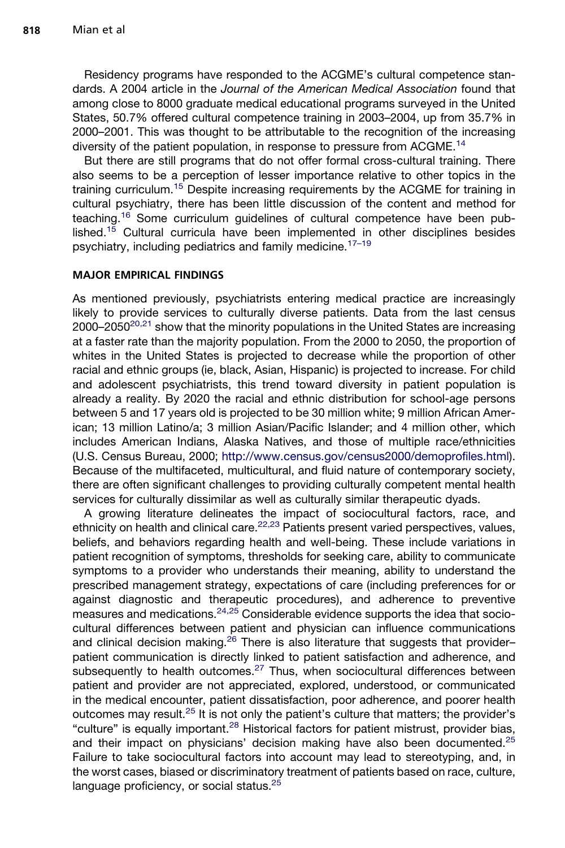Residency programs have responded to the ACGME's cultural competence standards. A 2004 article in the *Journal of the American Medical Association* found that among close to 8000 graduate medical educational programs surveyed in the United States, 50.7% offered cultural competence training in 2003–2004, up from 35.7% in 2000–2001. This was thought to be attributable to the recognition of the increasing diversity of the patient population, in response to pressure from ACGME.<sup>[14](#page-13-0)</sup>

But there are still programs that do not offer formal cross-cultural training. There also seems to be a perception of lesser importance relative to other topics in the training curriculum.[15](#page-13-0) Despite increasing requirements by the ACGME for training in cultural psychiatry, there has been little discussion of the content and method for teaching.[16](#page-13-0) Some curriculum guidelines of cultural competence have been published[.15](#page-13-0) Cultural curricula have been implemented in other disciplines besides psychiatry, including pediatrics and family medicine.[17–19](#page-13-0)

## MAJOR EMPIRICAL FINDINGS

As mentioned previously, psychiatrists entering medical practice are increasingly likely to provide services to culturally diverse patients. Data from the last census 2000–2050 $^{20,21}$  show that the minority populations in the United States are increasing at a faster rate than the majority population. From the 2000 to 2050, the proportion of whites in the United States is projected to decrease while the proportion of other racial and ethnic groups (ie, black, Asian, Hispanic) is projected to increase. For child and adolescent psychiatrists, this trend toward diversity in patient population is already a reality. By 2020 the racial and ethnic distribution for school-age persons between 5 and 17 years old is projected to be 30 million white; 9 million African American; 13 million Latino/a; 3 million Asian/Pacific Islander; and 4 million other, which includes American Indians, Alaska Natives, and those of multiple race/ethnicities (U.S. Census Bureau, 2000; <http://www.census.gov/census2000/demoprofiles.html>). Because of the multifaceted, multicultural, and fluid nature of contemporary society, there are often significant challenges to providing culturally competent mental health services for culturally dissimilar as well as culturally similar therapeutic dyads.

A growing literature delineates the impact of sociocultural factors, race, and ethnicity on health and clinical care.<sup>[22,23](#page-13-0)</sup> Patients present varied perspectives, values, beliefs, and behaviors regarding health and well-being. These include variations in patient recognition of symptoms, thresholds for seeking care, ability to communicate symptoms to a provider who understands their meaning, ability to understand the prescribed management strategy, expectations of care (including preferences for or against diagnostic and therapeutic procedures), and adherence to preventive measures and medications.<sup>[24,25](#page-13-0)</sup> Considerable evidence supports the idea that sociocultural differences between patient and physician can influence communications and clinical decision making.<sup>[26](#page-13-0)</sup> There is also literature that suggests that providerpatient communication is directly linked to patient satisfaction and adherence, and subsequently to health outcomes. $27$  Thus, when sociocultural differences between patient and provider are not appreciated, explored, understood, or communicated in the medical encounter, patient dissatisfaction, poor adherence, and poorer health outcomes may result.<sup>[25](#page-13-0)</sup> It is not only the patient's culture that matters; the provider's "culture" is equally important.[28](#page-14-0) Historical factors for patient mistrust, provider bias, and their impact on physicians' decision making have also been documented.<sup>[25](#page-13-0)</sup> Failure to take sociocultural factors into account may lead to stereotyping, and, in the worst cases, biased or discriminatory treatment of patients based on race, culture, language proficiency, or social status.<sup>[25](#page-13-0)</sup>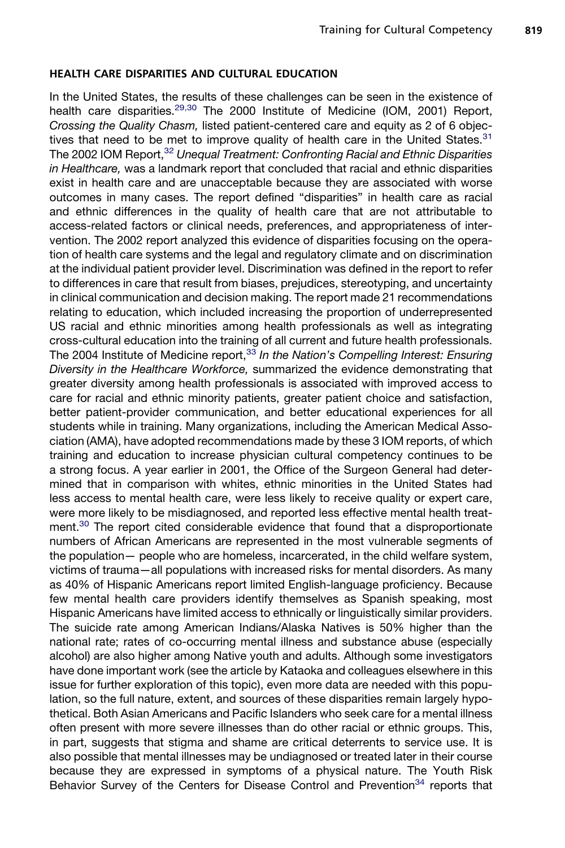#### HEALTH CARE DISPARITIES AND CULTURAL EDUCATION

In the United States, the results of these challenges can be seen in the existence of health care disparities.<sup>[29,30](#page-14-0)</sup> The 2000 Institute of Medicine (IOM, 2001) Report, *Crossing the Quality Chasm,* listed patient-centered care and equity as 2 of 6 objectives that need to be met to improve quality of health care in the United States. $31$ The 2002 IOM Report,[32](#page-14-0) *Unequal Treatment: Confronting Racial and Ethnic Disparities in Healthcare,* was a landmark report that concluded that racial and ethnic disparities exist in health care and are unacceptable because they are associated with worse outcomes in many cases. The report defined "disparities" in health care as racial and ethnic differences in the quality of health care that are not attributable to access-related factors or clinical needs, preferences, and appropriateness of intervention. The 2002 report analyzed this evidence of disparities focusing on the operation of health care systems and the legal and regulatory climate and on discrimination at the individual patient provider level. Discrimination was defined in the report to refer to differences in care that result from biases, prejudices, stereotyping, and uncertainty in clinical communication and decision making. The report made 21 recommendations relating to education, which included increasing the proportion of underrepresented US racial and ethnic minorities among health professionals as well as integrating cross-cultural education into the training of all current and future health professionals. The 2004 Institute of Medicine report,<sup>[33](#page-14-0)</sup> In the Nation's Compelling Interest: Ensuring *Diversity in the Healthcare Workforce,* summarized the evidence demonstrating that greater diversity among health professionals is associated with improved access to care for racial and ethnic minority patients, greater patient choice and satisfaction, better patient-provider communication, and better educational experiences for all students while in training. Many organizations, including the American Medical Association (AMA), have adopted recommendations made by these 3 IOM reports, of which training and education to increase physician cultural competency continues to be a strong focus. A year earlier in 2001, the Office of the Surgeon General had determined that in comparison with whites, ethnic minorities in the United States had less access to mental health care, were less likely to receive quality or expert care, were more likely to be misdiagnosed, and reported less effective mental health treat-ment.<sup>[30](#page-14-0)</sup> The report cited considerable evidence that found that a disproportionate numbers of African Americans are represented in the most vulnerable segments of the population— people who are homeless, incarcerated, in the child welfare system, victims of trauma—all populations with increased risks for mental disorders. As many as 40% of Hispanic Americans report limited English-language proficiency. Because few mental health care providers identify themselves as Spanish speaking, most Hispanic Americans have limited access to ethnically or linguistically similar providers. The suicide rate among American Indians/Alaska Natives is 50% higher than the national rate; rates of co-occurring mental illness and substance abuse (especially alcohol) are also higher among Native youth and adults. Although some investigators have done important work (see the article by Kataoka and colleagues elsewhere in this issue for further exploration of this topic), even more data are needed with this population, so the full nature, extent, and sources of these disparities remain largely hypothetical. Both Asian Americans and Pacific Islanders who seek care for a mental illness often present with more severe illnesses than do other racial or ethnic groups. This, in part, suggests that stigma and shame are critical deterrents to service use. It is also possible that mental illnesses may be undiagnosed or treated later in their course because they are expressed in symptoms of a physical nature. The Youth Risk Behavior Survey of the Centers for Disease Control and Prevention<sup>[34](#page-14-0)</sup> reports that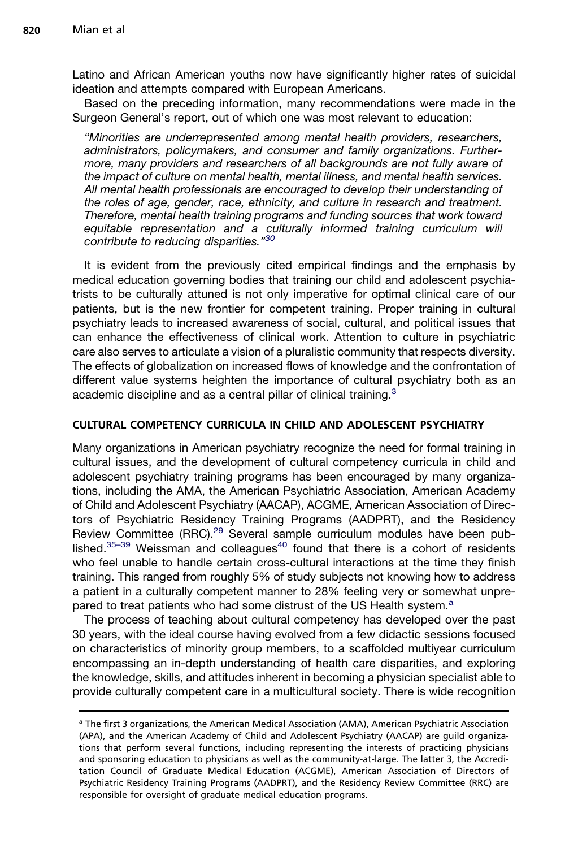Latino and African American youths now have significantly higher rates of suicidal ideation and attempts compared with European Americans.

Based on the preceding information, many recommendations were made in the Surgeon General's report, out of which one was most relevant to education:

*"Minorities are underrepresented among mental health providers, researchers, administrators, policymakers, and consumer and family organizations. Furthermore, many providers and researchers of all backgrounds are not fully aware of the impact of culture on mental health, mental illness, and mental health services. All mental health professionals are encouraged to develop their understanding of the roles of age, gender, race, ethnicity, and culture in research and treatment. Therefore, mental health training programs and funding sources that work toward equitable representation and a culturally informed training curriculum will contribute to reducing disparities."[30](#page-14-0)*

It is evident from the previously cited empirical findings and the emphasis by medical education governing bodies that training our child and adolescent psychiatrists to be culturally attuned is not only imperative for optimal clinical care of our patients, but is the new frontier for competent training. Proper training in cultural psychiatry leads to increased awareness of social, cultural, and political issues that can enhance the effectiveness of clinical work. Attention to culture in psychiatric care also serves to articulate a vision of a pluralistic community that respects diversity. The effects of globalization on increased flows of knowledge and the confrontation of different value systems heighten the importance of cultural psychiatry both as an academic discipline and as a central pillar of clinical training.<sup>[3](#page-12-0)</sup>

## CULTURAL COMPETENCY CURRICULA IN CHILD AND ADOLESCENT PSYCHIATRY

Many organizations in American psychiatry recognize the need for formal training in cultural issues, and the development of cultural competency curricula in child and adolescent psychiatry training programs has been encouraged by many organizations, including the AMA, the American Psychiatric Association, American Academy of Child and Adolescent Psychiatry (AACAP), ACGME, American Association of Directors of Psychiatric Residency Training Programs (AADPRT), and the Residency Review Committee (RRC).<sup>[29](#page-14-0)</sup> Several sample curriculum modules have been published. $35-39$  Weissman and colleagues<sup>[40](#page-14-0)</sup> found that there is a cohort of residents who feel unable to handle certain cross-cultural interactions at the time they finish training. This ranged from roughly 5% of study subjects not knowing how to address a patient in a culturally competent manner to 28% feeling very or somewhat unprepared to treat patients who had some distrust of the US Health system.<sup>a</sup>

The process of teaching about cultural competency has developed over the past 30 years, with the ideal course having evolved from a few didactic sessions focused on characteristics of minority group members, to a scaffolded multiyear curriculum encompassing an in-depth understanding of health care disparities, and exploring the knowledge, skills, and attitudes inherent in becoming a physician specialist able to provide culturally competent care in a multicultural society. There is wide recognition

<sup>&</sup>lt;sup>a</sup> The first 3 organizations, the American Medical Association (AMA), American Psychiatric Association (APA), and the American Academy of Child and Adolescent Psychiatry (AACAP) are guild organizations that perform several functions, including representing the interests of practicing physicians and sponsoring education to physicians as well as the community-at-large. The latter 3, the Accreditation Council of Graduate Medical Education (ACGME), American Association of Directors of Psychiatric Residency Training Programs (AADPRT), and the Residency Review Committee (RRC) are responsible for oversight of graduate medical education programs.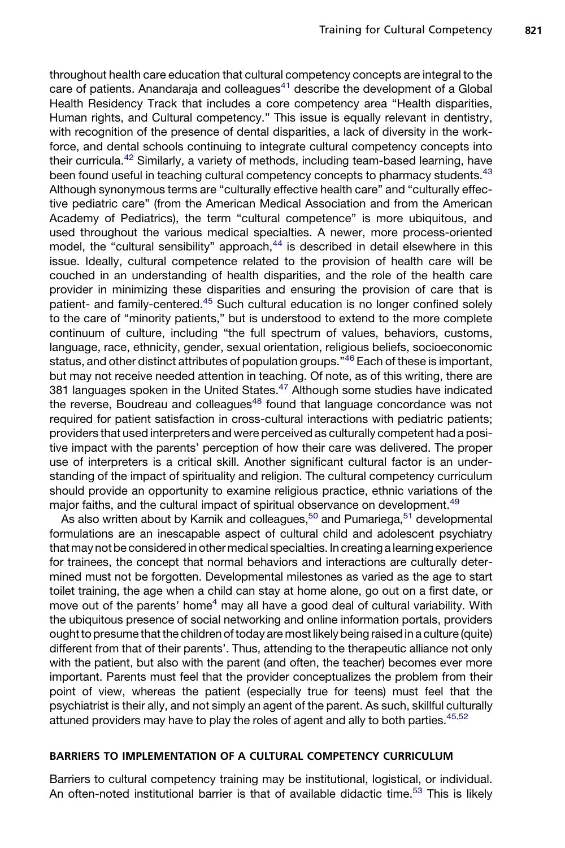throughout health care education that cultural competency concepts are integral to the care of patients. Anandaraja and colleagues $41$  describe the development of a Global Health Residency Track that includes a core competency area "Health disparities, Human rights, and Cultural competency." This issue is equally relevant in dentistry, with recognition of the presence of dental disparities, a lack of diversity in the workforce, and dental schools continuing to integrate cultural competency concepts into their curricula.<sup>[42](#page-14-0)</sup> Similarly, a variety of methods, including team-based learning, have been found useful in teaching cultural competency concepts to pharmacy students.<sup>43</sup> Although synonymous terms are "culturally effective health care" and "culturally effective pediatric care" (from the American Medical Association and from the American Academy of Pediatrics), the term "cultural competence" is more ubiquitous, and used throughout the various medical specialties. A newer, more process-oriented model, the "cultural sensibility" approach, $44$  is described in detail elsewhere in this issue. Ideally, cultural competence related to the provision of health care will be couched in an understanding of health disparities, and the role of the health care provider in minimizing these disparities and ensuring the provision of care that is patient- and family-centered.<sup>[45](#page-14-0)</sup> Such cultural education is no longer confined solely to the care of "minority patients," but is understood to extend to the more complete continuum of culture, including "the full spectrum of values, behaviors, customs, language, race, ethnicity, gender, sexual orientation, religious beliefs, socioeconomic status, and other distinct attributes of population groups."[46](#page-14-0) Each of these is important, but may not receive needed attention in teaching. Of note, as of this writing, there are 381 languages spoken in the United States.[47](#page-14-0) Although some studies have indicated the reverse, Boudreau and colleagues<sup>[48](#page-15-0)</sup> found that language concordance was not required for patient satisfaction in cross-cultural interactions with pediatric patients; providers that used interpreters and were perceived as culturally competent had a positive impact with the parents' perception of how their care was delivered. The proper use of interpreters is a critical skill. Another significant cultural factor is an understanding of the impact of spirituality and religion. The cultural competency curriculum should provide an opportunity to examine religious practice, ethnic variations of the major faiths, and the cultural impact of spiritual observance on development.<sup>[49](#page-15-0)</sup>

As also written about by Karnik and colleagues,  $50$  and Pumariega,  $51$  developmental formulations are an inescapable aspect of cultural child and adolescent psychiatry that may not be considered in othermedical specialties. In creating a learning experience for trainees, the concept that normal behaviors and interactions are culturally determined must not be forgotten. Developmental milestones as varied as the age to start toilet training, the age when a child can stay at home alone, go out on a first date, or move out of the parents' home<sup>4</sup> may all have a good deal of cultural variability. With the ubiquitous presence of social networking and online information portals, providers ought to presume that the children of today are most likely being raised in a culture (quite) different from that of their parents'. Thus, attending to the therapeutic alliance not only with the patient, but also with the parent (and often, the teacher) becomes ever more important. Parents must feel that the provider conceptualizes the problem from their point of view, whereas the patient (especially true for teens) must feel that the psychiatrist is their ally, and not simply an agent of the parent. As such, skillful culturally attuned providers may have to play the roles of agent and ally to both parties.  $45,52$ 

### BARRIERS TO IMPLEMENTATION OF A CULTURAL COMPETENCY CURRICULUM

Barriers to cultural competency training may be institutional, logistical, or individual. An often-noted institutional barrier is that of available didactic time.<sup>[53](#page-15-0)</sup> This is likely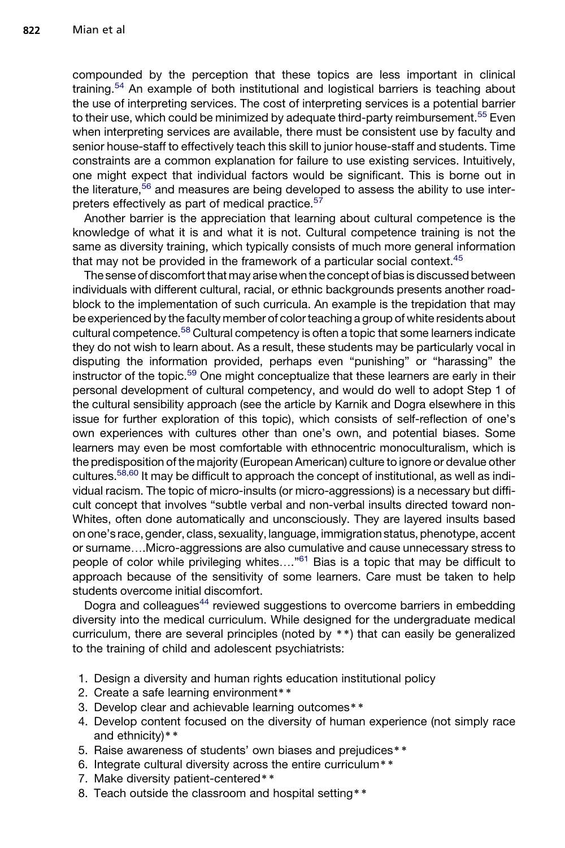compounded by the perception that these topics are less important in clinical training.[54](#page-15-0) An example of both institutional and logistical barriers is teaching about the use of interpreting services. The cost of interpreting services is a potential barrier to their use, which could be minimized by adequate third-party reimbursement.<sup>[55](#page-15-0)</sup> Even when interpreting services are available, there must be consistent use by faculty and senior house-staff to effectively teach this skill to junior house-staff and students. Time constraints are a common explanation for failure to use existing services. Intuitively, one might expect that individual factors would be significant. This is borne out in the literature,<sup>[56](#page-15-0)</sup> and measures are being developed to assess the ability to use inter-preters effectively as part of medical practice.<sup>[57](#page-15-0)</sup>

Another barrier is the appreciation that learning about cultural competence is the knowledge of what it is and what it is not. Cultural competence training is not the same as diversity training, which typically consists of much more general information that may not be provided in the framework of a particular social context.<sup>[45](#page-14-0)</sup>

The sense of discomfort that may arise when the concept of bias is discussed between individuals with different cultural, racial, or ethnic backgrounds presents another roadblock to the implementation of such curricula. An example is the trepidation that may be experienced by the faculty member of color teaching a group of white residents about cultural competence.<sup>58</sup> Cultural competency is often a topic that some learners indicate they do not wish to learn about. As a result, these students may be particularly vocal in disputing the information provided, perhaps even "punishing" or "harassing" the instructor of the topic.<sup>59</sup> One might conceptualize that these learners are early in their personal development of cultural competency, and would do well to adopt Step 1 of the cultural sensibility approach (see the article by Karnik and Dogra elsewhere in this issue for further exploration of this topic), which consists of self-reflection of one's own experiences with cultures other than one's own, and potential biases. Some learners may even be most comfortable with ethnocentric monoculturalism, which is the predisposition of the majority (European American) culture to ignore or devalue other cultures[.58,60](#page-15-0) It may be difficult to approach the concept of institutional, as well as individual racism. The topic of micro-insults (or micro-aggressions) is a necessary but difficult concept that involves "subtle verbal and non-verbal insults directed toward non-Whites, often done automatically and unconsciously. They are layered insults based on one's race, gender, class, sexuality, language, immigration status, phenotype, accent or surname....Micro-aggressions are also cumulative and cause unnecessary stress to people of color while privileging whites...."<sup>[61](#page-15-0)</sup> Bias is a topic that may be difficult to approach because of the sensitivity of some learners. Care must be taken to help students overcome initial discomfort.

Dogra and colleagues<sup>[44](#page-14-0)</sup> reviewed suggestions to overcome barriers in embedding diversity into the medical curriculum. While designed for the undergraduate medical curriculum, there are several principles (noted by \*\*) that can easily be generalized to the training of child and adolescent psychiatrists:

- 1. Design a diversity and human rights education institutional policy
- 2. Create a safe learning environment\*\*
- 3. Develop clear and achievable learning outcomes\*\*
- 4. Develop content focused on the diversity of human experience (not simply race and ethnicity)\*\*
- 5. Raise awareness of students' own biases and prejudices\*\*
- 6. Integrate cultural diversity across the entire curriculum\*\*
- 7. Make diversity patient-centered\*\*
- 8. Teach outside the classroom and hospital setting\*\*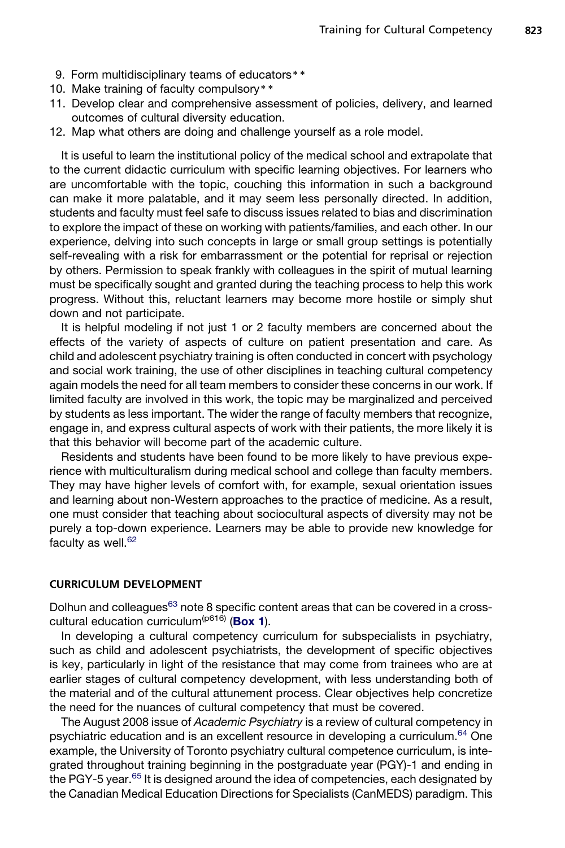- 9. Form multidisciplinary teams of educators\*\*
- 10. Make training of faculty compulsory\*\*
- 11. Develop clear and comprehensive assessment of policies, delivery, and learned outcomes of cultural diversity education.
- 12. Map what others are doing and challenge yourself as a role model.

It is useful to learn the institutional policy of the medical school and extrapolate that to the current didactic curriculum with specific learning objectives. For learners who are uncomfortable with the topic, couching this information in such a background can make it more palatable, and it may seem less personally directed. In addition, students and faculty must feel safe to discuss issues related to bias and discrimination to explore the impact of these on working with patients/families, and each other. In our experience, delving into such concepts in large or small group settings is potentially self-revealing with a risk for embarrassment or the potential for reprisal or rejection by others. Permission to speak frankly with colleagues in the spirit of mutual learning must be specifically sought and granted during the teaching process to help this work progress. Without this, reluctant learners may become more hostile or simply shut down and not participate.

It is helpful modeling if not just 1 or 2 faculty members are concerned about the effects of the variety of aspects of culture on patient presentation and care. As child and adolescent psychiatry training is often conducted in concert with psychology and social work training, the use of other disciplines in teaching cultural competency again models the need for all team members to consider these concerns in our work. If limited faculty are involved in this work, the topic may be marginalized and perceived by students as less important. The wider the range of faculty members that recognize, engage in, and express cultural aspects of work with their patients, the more likely it is that this behavior will become part of the academic culture.

Residents and students have been found to be more likely to have previous experience with multiculturalism during medical school and college than faculty members. They may have higher levels of comfort with, for example, sexual orientation issues and learning about non-Western approaches to the practice of medicine. As a result, one must consider that teaching about sociocultural aspects of diversity may not be purely a top-down experience. Learners may be able to provide new knowledge for faculty as well.<sup>[62](#page-15-0)</sup>

## CURRICULUM DEVELOPMENT

Dolhun and colleagues $^{63}$  $^{63}$  $^{63}$  note 8 specific content areas that can be covered in a cross-cultural education curriculum<sup>(p616)</sup> ([Box 1](#page-9-0)).

In developing a cultural competency curriculum for subspecialists in psychiatry, such as child and adolescent psychiatrists, the development of specific objectives is key, particularly in light of the resistance that may come from trainees who are at earlier stages of cultural competency development, with less understanding both of the material and of the cultural attunement process. Clear objectives help concretize the need for the nuances of cultural competency that must be covered.

The August 2008 issue of *Academic Psychiatry* is a review of cultural competency in psychiatric education and is an excellent resource in developing a curriculum.<sup>[64](#page-15-0)</sup> One example, the University of Toronto psychiatry cultural competence curriculum, is integrated throughout training beginning in the postgraduate year (PGY)-1 and ending in the PGY-5 year.<sup>[65](#page-15-0)</sup> It is designed around the idea of competencies, each designated by the Canadian Medical Education Directions for Specialists (CanMEDS) paradigm. This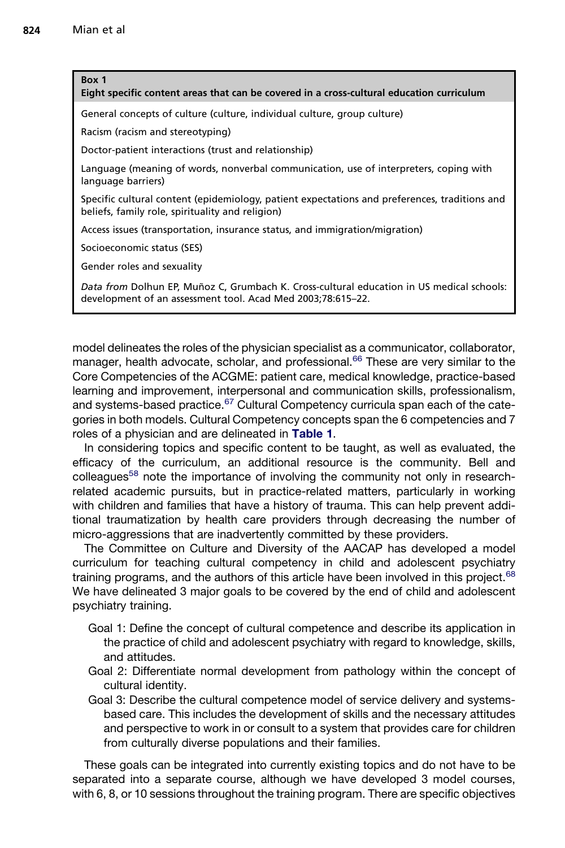<span id="page-9-0"></span>

| DUA I<br>Eight specific content areas that can be covered in a cross-cultural education curriculum                                                       |  |  |  |  |
|----------------------------------------------------------------------------------------------------------------------------------------------------------|--|--|--|--|
| General concepts of culture (culture, individual culture, group culture)                                                                                 |  |  |  |  |
| Racism (racism and stereotyping)                                                                                                                         |  |  |  |  |
| Doctor-patient interactions (trust and relationship)                                                                                                     |  |  |  |  |
| Language (meaning of words, nonverbal communication, use of interpreters, coping with<br>language barriers)                                              |  |  |  |  |
| Specific cultural content (epidemiology, patient expectations and preferences, traditions and<br>beliefs, family role, spirituality and religion)        |  |  |  |  |
| Access issues (transportation, insurance status, and immigration/migration)                                                                              |  |  |  |  |
| Socioeconomic status (SES)                                                                                                                               |  |  |  |  |
| Gender roles and sexuality                                                                                                                               |  |  |  |  |
| Data from Dolhun EP, Muñoz C, Grumbach K. Cross-cultural education in US medical schools:<br>development of an assessment tool. Acad Med 2003;78:615-22. |  |  |  |  |

model delineates the roles of the physician specialist as a communicator, collaborator, manager, health advocate, scholar, and professional.<sup>[66](#page-16-0)</sup> These are very similar to the Core Competencies of the ACGME: patient care, medical knowledge, practice-based learning and improvement, interpersonal and communication skills, professionalism, and systems-based practice.<sup>[67](#page-16-0)</sup> Cultural Competency curricula span each of the categories in both models. Cultural Competency concepts span the 6 competencies and 7 roles of a physician and are delineated in [Table 1](#page-10-0).

In considering topics and specific content to be taught, as well as evaluated, the efficacy of the curriculum, an additional resource is the community. Bell and  $colleagues<sup>58</sup>$  $colleagues<sup>58</sup>$  $colleagues<sup>58</sup>$  note the importance of involving the community not only in researchrelated academic pursuits, but in practice-related matters, particularly in working with children and families that have a history of trauma. This can help prevent additional traumatization by health care providers through decreasing the number of micro-aggressions that are inadvertently committed by these providers.

The Committee on Culture and Diversity of the AACAP has developed a model curriculum for teaching cultural competency in child and adolescent psychiatry training programs, and the authors of this article have been involved in this project.<sup>[68](#page-16-0)</sup> We have delineated 3 major goals to be covered by the end of child and adolescent psychiatry training.

- Goal 1: Define the concept of cultural competence and describe its application in the practice of child and adolescent psychiatry with regard to knowledge, skills, and attitudes.
- Goal 2: Differentiate normal development from pathology within the concept of cultural identity.
- Goal 3: Describe the cultural competence model of service delivery and systemsbased care. This includes the development of skills and the necessary attitudes and perspective to work in or consult to a system that provides care for children from culturally diverse populations and their families.

These goals can be integrated into currently existing topics and do not have to be separated into a separate course, although we have developed 3 model courses, with 6, 8, or 10 sessions throughout the training program. There are specific objectives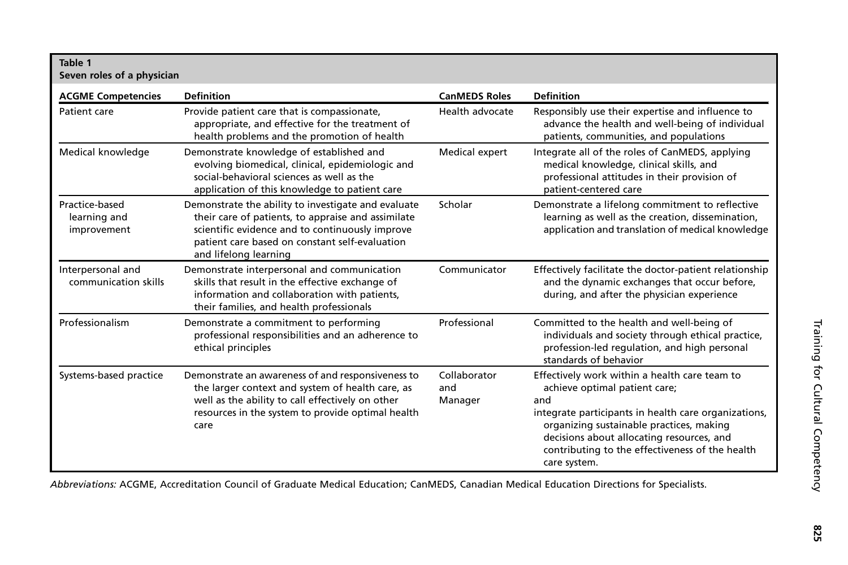<span id="page-10-0"></span>

| Table 1<br>Seven roles of a physician         |                                                                                                                                                                                                                                         |                                |                                                                                                                                                                                                                                                                                                           |  |
|-----------------------------------------------|-----------------------------------------------------------------------------------------------------------------------------------------------------------------------------------------------------------------------------------------|--------------------------------|-----------------------------------------------------------------------------------------------------------------------------------------------------------------------------------------------------------------------------------------------------------------------------------------------------------|--|
| <b>ACGME Competencies</b>                     | <b>Definition</b>                                                                                                                                                                                                                       | <b>CanMEDS Roles</b>           | <b>Definition</b>                                                                                                                                                                                                                                                                                         |  |
| Patient care                                  | Provide patient care that is compassionate,<br>appropriate, and effective for the treatment of<br>health problems and the promotion of health                                                                                           | Health advocate                | Responsibly use their expertise and influence to<br>advance the health and well-being of individual<br>patients, communities, and populations                                                                                                                                                             |  |
| Medical knowledge                             | Demonstrate knowledge of established and<br>evolving biomedical, clinical, epidemiologic and<br>social-behavioral sciences as well as the<br>application of this knowledge to patient care                                              | Medical expert                 | Integrate all of the roles of CanMEDS, applying<br>medical knowledge, clinical skills, and<br>professional attitudes in their provision of<br>patient-centered care                                                                                                                                       |  |
| Practice-based<br>learning and<br>improvement | Demonstrate the ability to investigate and evaluate<br>their care of patients, to appraise and assimilate<br>scientific evidence and to continuously improve<br>patient care based on constant self-evaluation<br>and lifelong learning | Scholar                        | Demonstrate a lifelong commitment to reflective<br>learning as well as the creation, dissemination,<br>application and translation of medical knowledge                                                                                                                                                   |  |
| Interpersonal and<br>communication skills     | Demonstrate interpersonal and communication<br>skills that result in the effective exchange of<br>information and collaboration with patients,<br>their families, and health professionals                                              | Communicator                   | Effectively facilitate the doctor-patient relationship<br>and the dynamic exchanges that occur before,<br>during, and after the physician experience                                                                                                                                                      |  |
| Professionalism                               | Demonstrate a commitment to performing<br>professional responsibilities and an adherence to<br>ethical principles                                                                                                                       | Professional                   | Committed to the health and well-being of<br>individuals and society through ethical practice,<br>profession-led regulation, and high personal<br>standards of behavior                                                                                                                                   |  |
| Systems-based practice                        | Demonstrate an awareness of and responsiveness to<br>the larger context and system of health care, as<br>well as the ability to call effectively on other<br>resources in the system to provide optimal health<br>care                  | Collaborator<br>and<br>Manager | Effectively work within a health care team to<br>achieve optimal patient care;<br>and<br>integrate participants in health care organizations,<br>organizing sustainable practices, making<br>decisions about allocating resources, and<br>contributing to the effectiveness of the health<br>care system. |  |

Abbreviations: ACGME, Accreditation Council of Graduate Medical Education; CanMEDS, Canadian Medical Education Directions for Specialists.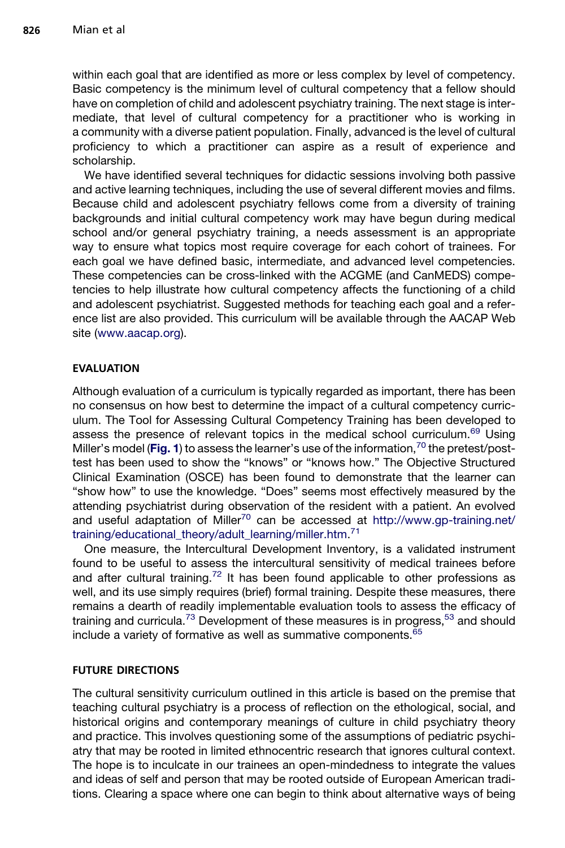within each goal that are identified as more or less complex by level of competency. Basic competency is the minimum level of cultural competency that a fellow should have on completion of child and adolescent psychiatry training. The next stage is intermediate, that level of cultural competency for a practitioner who is working in a community with a diverse patient population. Finally, advanced is the level of cultural proficiency to which a practitioner can aspire as a result of experience and scholarship.

We have identified several techniques for didactic sessions involving both passive and active learning techniques, including the use of several different movies and films. Because child and adolescent psychiatry fellows come from a diversity of training backgrounds and initial cultural competency work may have begun during medical school and/or general psychiatry training, a needs assessment is an appropriate way to ensure what topics most require coverage for each cohort of trainees. For each goal we have defined basic, intermediate, and advanced level competencies. These competencies can be cross-linked with the ACGME (and CanMEDS) competencies to help illustrate how cultural competency affects the functioning of a child and adolescent psychiatrist. Suggested methods for teaching each goal and a reference list are also provided. This curriculum will be available through the AACAP Web site ([www.aacap.org](http://www.aacap.org)).

## EVALUATION

Although evaluation of a curriculum is typically regarded as important, there has been no consensus on how best to determine the impact of a cultural competency curriculum. The Tool for Assessing Cultural Competency Training has been developed to assess the presence of relevant topics in the medical school curriculum.<sup>[69](#page-16-0)</sup> Using Miller's model ([Fig. 1](#page-12-0)) to assess the learner's use of the information, $^{70}$  $^{70}$  $^{70}$  the pretest/posttest has been used to show the "knows" or "knows how." The Objective Structured Clinical Examination (OSCE) has been found to demonstrate that the learner can "show how" to use the knowledge. "Does" seems most effectively measured by the attending psychiatrist during observation of the resident with a patient. An evolved and useful adaptation of Miller<sup>[70](#page-16-0)</sup> can be accessed at [http://www.gp-training.net/](http://www.gp-training.net/training/educational_theory/adult_learning/miller.htm) [training/educational\\_theory/adult\\_learning/miller.htm.](http://www.gp-training.net/training/educational_theory/adult_learning/miller.htm) [71](#page-16-0)

One measure, the Intercultural Development Inventory, is a validated instrument found to be useful to assess the intercultural sensitivity of medical trainees before and after cultural training.<sup>[72](#page-16-0)</sup> It has been found applicable to other professions as well, and its use simply requires (brief) formal training. Despite these measures, there remains a dearth of readily implementable evaluation tools to assess the efficacy of training and curricula.<sup>[73](#page-16-0)</sup> Development of these measures is in progress,<sup>[53](#page-15-0)</sup> and should include a variety of formative as well as summative components.<sup>[65](#page-15-0)</sup>

## FUTURE DIRECTIONS

The cultural sensitivity curriculum outlined in this article is based on the premise that teaching cultural psychiatry is a process of reflection on the ethological, social, and historical origins and contemporary meanings of culture in child psychiatry theory and practice. This involves questioning some of the assumptions of pediatric psychiatry that may be rooted in limited ethnocentric research that ignores cultural context. The hope is to inculcate in our trainees an open-mindedness to integrate the values and ideas of self and person that may be rooted outside of European American traditions. Clearing a space where one can begin to think about alternative ways of being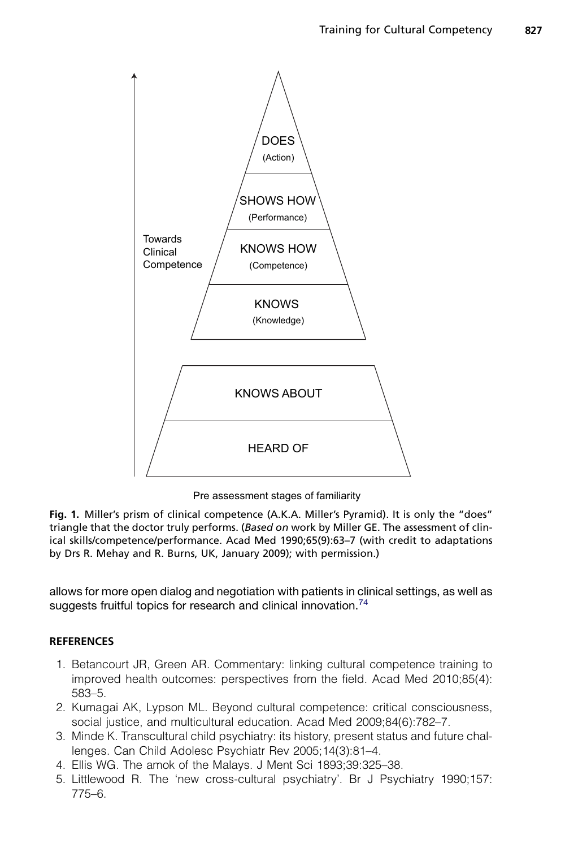<span id="page-12-0"></span>

Pre assessment stages of familiarity

Fig. 1. Miller's prism of clinical competence (A.K.A. Miller's Pyramid). It is only the "does" triangle that the doctor truly performs. (Based on work by Miller GE. The assessment of clinical skills/competence/performance. Acad Med 1990;65(9):63–7 (with credit to adaptations by Drs R. Mehay and R. Burns, UK, January 2009); with permission.)

allows for more open dialog and negotiation with patients in clinical settings, as well as suggests fruitful topics for research and clinical innovation.<sup>[74](#page-16-0)</sup>

## **REFERENCES**

- 1. Betancourt JR, Green AR. Commentary: linking cultural competence training to improved health outcomes: perspectives from the field. Acad Med 2010;85(4): 583–5.
- 2. Kumagai AK, Lypson ML. Beyond cultural competence: critical consciousness, social justice, and multicultural education. Acad Med 2009;84(6):782–7.
- 3. Minde K. Transcultural child psychiatry: its history, present status and future challenges. Can Child Adolesc Psychiatr Rev 2005;14(3):81–4.
- 4. Ellis WG. The amok of the Malays. J Ment Sci 1893;39:325–38.
- 5. Littlewood R. The 'new cross-cultural psychiatry'. Br J Psychiatry 1990;157: 775–6.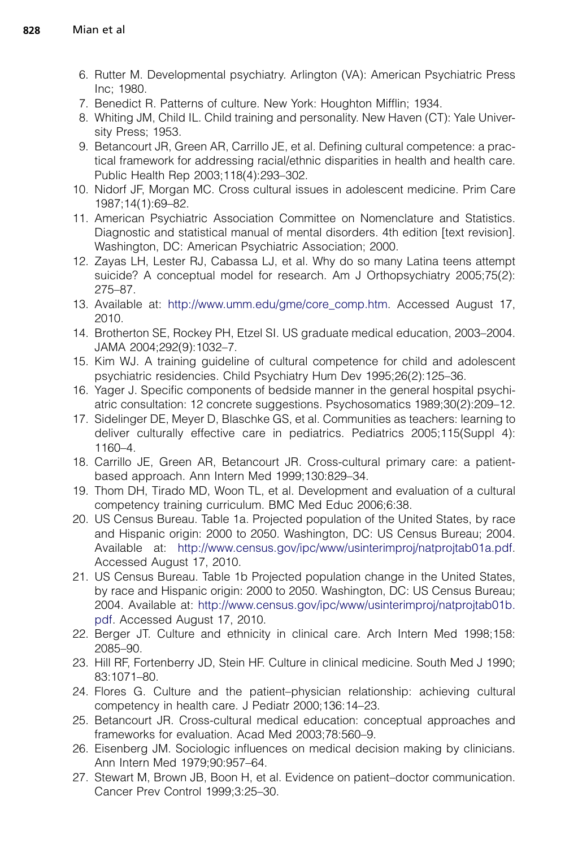- <span id="page-13-0"></span>6. Rutter M. Developmental psychiatry. Arlington (VA): American Psychiatric Press Inc; 1980.
- 7. Benedict R. Patterns of culture. New York: Houghton Mifflin; 1934.
- 8. Whiting JM, Child IL. Child training and personality. New Haven (CT): Yale University Press; 1953.
- 9. Betancourt JR, Green AR, Carrillo JE, et al. Defining cultural competence: a practical framework for addressing racial/ethnic disparities in health and health care. Public Health Rep 2003;118(4):293–302.
- 10. Nidorf JF, Morgan MC. Cross cultural issues in adolescent medicine. Prim Care 1987;14(1):69–82.
- 11. American Psychiatric Association Committee on Nomenclature and Statistics. Diagnostic and statistical manual of mental disorders. 4th edition [text revision]. Washington, DC: American Psychiatric Association; 2000.
- 12. Zayas LH, Lester RJ, Cabassa LJ, et al. Why do so many Latina teens attempt suicide? A conceptual model for research. Am J Orthopsychiatry 2005;75(2): 275–87.
- 13. Available at: [http://www.umm.edu/gme/core\\_comp.htm](http://www.umm.edu/gme/core_comp.htm). Accessed August 17, 2010.
- 14. Brotherton SE, Rockey PH, Etzel SI. US graduate medical education, 2003–2004. JAMA 2004;292(9):1032–7.
- 15. Kim WJ. A training guideline of cultural competence for child and adolescent psychiatric residencies. Child Psychiatry Hum Dev 1995;26(2):125–36.
- 16. Yager J. Specific components of bedside manner in the general hospital psychiatric consultation: 12 concrete suggestions. Psychosomatics 1989;30(2):209–12.
- 17. Sidelinger DE, Meyer D, Blaschke GS, et al. Communities as teachers: learning to deliver culturally effective care in pediatrics. Pediatrics 2005;115(Suppl 4): 1160–4.
- 18. Carrillo JE, Green AR, Betancourt JR. Cross-cultural primary care: a patientbased approach. Ann Intern Med 1999;130:829–34.
- 19. Thom DH, Tirado MD, Woon TL, et al. Development and evaluation of a cultural competency training curriculum. BMC Med Educ 2006;6:38.
- 20. US Census Bureau. Table 1a. Projected population of the United States, by race and Hispanic origin: 2000 to 2050. Washington, DC: US Census Bureau; 2004. Available at: [http://www.census.gov/ipc/www/usinterimproj/natprojtab01a.pdf.](http://www.census.gov/ipc/www/usinterimproj/natprojtab01b.pdf) Accessed August 17, 2010.
- 21. US Census Bureau. Table 1b Projected population change in the United States, by race and Hispanic origin: 2000 to 2050. Washington, DC: US Census Bureau; 2004. Available at: [http://www.census.gov/ipc/www/usinterimproj/natprojtab01b.](http://www.census.gov/ipc/www/usinterimproj/natprojtab01b.pdf) [pdf.](http://www.census.gov/ipc/www/usinterimproj/natprojtab01b.pdf) Accessed August 17, 2010.
- 22. Berger JT. Culture and ethnicity in clinical care. Arch Intern Med 1998;158: 2085–90.
- 23. Hill RF, Fortenberry JD, Stein HF. Culture in clinical medicine. South Med J 1990; 83:1071–80.
- 24. Flores G. Culture and the patient–physician relationship: achieving cultural competency in health care. J Pediatr 2000;136:14–23.
- 25. Betancourt JR. Cross-cultural medical education: conceptual approaches and frameworks for evaluation. Acad Med 2003;78:560–9.
- 26. Eisenberg JM. Sociologic influences on medical decision making by clinicians. Ann Intern Med 1979;90:957–64.
- 27. Stewart M, Brown JB, Boon H, et al. Evidence on patient–doctor communication. Cancer Prev Control 1999;3:25–30.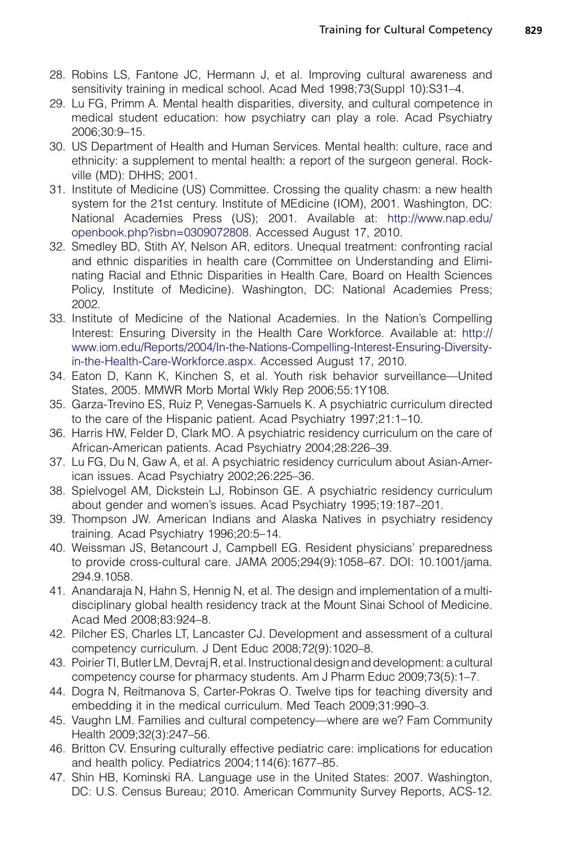- <span id="page-14-0"></span>28. Robins LS, Fantone JC, Hermann J, et al. Improving cultural awareness and sensitivity training in medical school. Acad Med 1998;73(Suppl 10):S31–4.
- 29. Lu FG, Primm A. Mental health disparities, diversity, and cultural competence in medical student education: how psychiatry can play a role. Acad Psychiatry 2006;30:9–15.
- 30. US Department of Health and Human Services. Mental health: culture, race and ethnicity: a supplement to mental health: a report of the surgeon general. Rockville (MD): DHHS; 2001.
- 31. Institute of Medicine (US) Committee. Crossing the quality chasm: a new health system for the 21st century. Institute of MEdicine (IOM), 2001. Washington, DC: National Academies Press (US); 2001. Available at: [http://www.nap.edu/](http://www.nap.edu/openbook.php?isbn=0309072808) [openbook.php?isbn=0309072808](http://www.nap.edu/openbook.php?isbn=0309072808). Accessed August 17, 2010.
- 32. Smedley BD, Stith AY, Nelson AR, editors. Unequal treatment: confronting racial and ethnic disparities in health care (Committee on Understanding and Eliminating Racial and Ethnic Disparities in Health Care, Board on Health Sciences Policy, Institute of Medicine). Washington, DC: National Academies Press; 2002.
- 33. Institute of Medicine of the National Academies. In the Nation's Compelling Interest: Ensuring Diversity in the Health Care Workforce. Available at: [http://](http://www.iom.edu/Reports/2004/In-the-Nations-Compelling-Interest-Ensuring-Diversity-in-the-Health-Care-Workforce.aspx) [www.iom.edu/Reports/2004/In-the-Nations-Compelling-Interest-Ensuring-Diversity](http://www.iom.edu/Reports/2004/In-the-Nations-Compelling-Interest-Ensuring-Diversity-in-the-Health-Care-Workforce.aspx)[in-the-Health-Care-Workforce.aspx.](http://www.iom.edu/Reports/2004/In-the-Nations-Compelling-Interest-Ensuring-Diversity-in-the-Health-Care-Workforce.aspx) Accessed August 17, 2010.
- 34. Eaton D, Kann K, Kinchen S, et al. Youth risk behavior surveillance—United States, 2005. MMWR Morb Mortal Wkly Rep 2006;55:1Y108.
- 35. Garza-Trevino ES, Ruiz P, Venegas-Samuels K. A psychiatric curriculum directed to the care of the Hispanic patient. Acad Psychiatry 1997;21:1–10.
- 36. Harris HW, Felder D, Clark MO. A psychiatric residency curriculum on the care of African-American patients. Acad Psychiatry 2004;28:226–39.
- 37. Lu FG, Du N, Gaw A, et al. A psychiatric residency curriculum about Asian-American issues. Acad Psychiatry 2002;26:225–36.
- 38. Spielvogel AM, Dickstein LJ, Robinson GE. A psychiatric residency curriculum about gender and women's issues. Acad Psychiatry 1995;19:187–201.
- 39. Thompson JW. American Indians and Alaska Natives in psychiatry residency training. Acad Psychiatry 1996;20:5–14.
- 40. Weissman JS, Betancourt J, Campbell EG. Resident physicians' preparedness to provide cross-cultural care. JAMA 2005;294(9):1058–67. DOI: 10.1001/jama. 294.9.1058.
- 41. Anandaraja N, Hahn S, Hennig N, et al. The design and implementation of a multidisciplinary global health residency track at the Mount Sinai School of Medicine. Acad Med 2008;83:924–8.
- 42. Pilcher ES, Charles LT, Lancaster CJ. Development and assessment of a cultural competency curriculum. J Dent Educ 2008;72(9):1020–8.
- 43. Poirier TI, Butler LM, Devraj R, et al. Instructional design and development: a cultural competency course for pharmacy students. Am J Pharm Educ 2009;73(5):1–7.
- 44. Dogra N, Reitmanova S, Carter-Pokras O. Twelve tips for teaching diversity and embedding it in the medical curriculum. Med Teach 2009;31:990–3.
- 45. Vaughn LM. Families and cultural competency—where are we? Fam Community Health 2009;32(3):247–56.
- 46. Britton CV. Ensuring culturally effective pediatric care: implications for education and health policy. Pediatrics 2004;114(6):1677–85.
- 47. Shin HB, Kominski RA. Language use in the United States: 2007. Washington, DC: U.S. Census Bureau; 2010. American Community Survey Reports, ACS-12.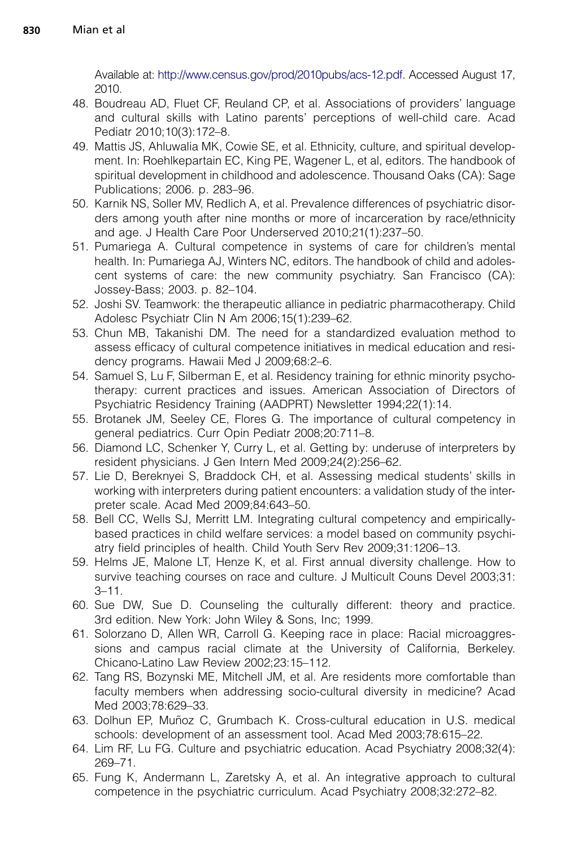<span id="page-15-0"></span>Available at: [http://www.census.gov/prod/2010pubs/acs-12.pdf.](http://www.census.gov/prod/2010pubs/acs-12.pdf) Accessed August 17, 2010.

- 48. Boudreau AD, Fluet CF, Reuland CP, et al. Associations of providers' language and cultural skills with Latino parents' perceptions of well-child care. Acad Pediatr 2010;10(3):172–8.
- 49. Mattis JS, Ahluwalia MK, Cowie SE, et al. Ethnicity, culture, and spiritual development. In: Roehlkepartain EC, King PE, Wagener L, et al, editors. The handbook of spiritual development in childhood and adolescence. Thousand Oaks (CA): Sage Publications; 2006. p. 283–96.
- 50. Karnik NS, Soller MV, Redlich A, et al. Prevalence differences of psychiatric disorders among youth after nine months or more of incarceration by race/ethnicity and age. J Health Care Poor Underserved 2010;21(1):237–50.
- 51. Pumariega A. Cultural competence in systems of care for children's mental health. In: Pumariega AJ, Winters NC, editors. The handbook of child and adolescent systems of care: the new community psychiatry. San Francisco (CA): Jossey-Bass; 2003. p. 82–104.
- 52. Joshi SV. Teamwork: the therapeutic alliance in pediatric pharmacotherapy. Child Adolesc Psychiatr Clin N Am 2006;15(1):239–62.
- 53. Chun MB, Takanishi DM. The need for a standardized evaluation method to assess efficacy of cultural competence initiatives in medical education and residency programs. Hawaii Med J 2009;68:2–6.
- 54. Samuel S, Lu F, Silberman E, et al. Residency training for ethnic minority psychotherapy: current practices and issues. American Association of Directors of Psychiatric Residency Training (AADPRT) Newsletter 1994;22(1):14.
- 55. Brotanek JM, Seeley CE, Flores G. The importance of cultural competency in general pediatrics. Curr Opin Pediatr 2008;20:711–8.
- 56. Diamond LC, Schenker Y, Curry L, et al. Getting by: underuse of interpreters by resident physicians. J Gen Intern Med 2009;24(2):256–62.
- 57. Lie D, Bereknyei S, Braddock CH, et al. Assessing medical students' skills in working with interpreters during patient encounters: a validation study of the interpreter scale. Acad Med 2009;84:643–50.
- 58. Bell CC, Wells SJ, Merritt LM. Integrating cultural competency and empiricallybased practices in child welfare services: a model based on community psychiatry field principles of health. Child Youth Serv Rev 2009;31:1206–13.
- 59. Helms JE, Malone LT, Henze K, et al. First annual diversity challenge. How to survive teaching courses on race and culture. J Multicult Couns Devel 2003;31:  $3 - 11$ .
- 60. Sue DW, Sue D. Counseling the culturally different: theory and practice. 3rd edition. New York: John Wiley & Sons, Inc; 1999.
- 61. Solorzano D, Allen WR, Carroll G. Keeping race in place: Racial microaggressions and campus racial climate at the University of California, Berkeley. Chicano-Latino Law Review 2002;23:15–112.
- 62. Tang RS, Bozynski ME, Mitchell JM, et al. Are residents more comfortable than faculty members when addressing socio-cultural diversity in medicine? Acad Med 2003;78:629–33.
- 63. Dolhun EP, Muñoz C, Grumbach K. Cross-cultural education in U.S. medical schools: development of an assessment tool. Acad Med 2003;78:615–22.
- 64. Lim RF, Lu FG. Culture and psychiatric education. Acad Psychiatry 2008;32(4): 269–71.
- 65. Fung K, Andermann L, Zaretsky A, et al. An integrative approach to cultural competence in the psychiatric curriculum. Acad Psychiatry 2008;32:272–82.